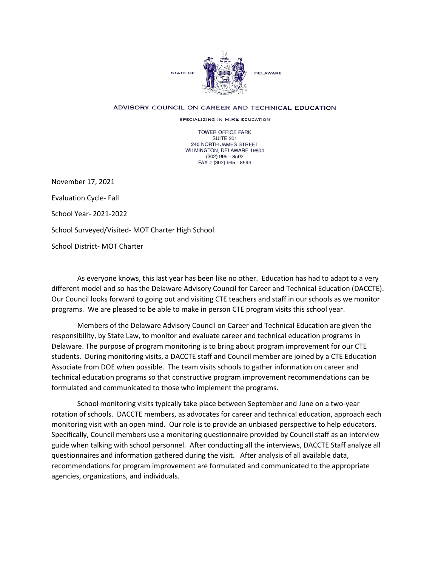

## ADVISORY COUNCIL ON CAREER AND TECHNICAL EDUCATION

SPECIALIZING IN HIRE EDUCATION

TOWER OFFICE PARK SUITE 201 240 NORTH JAMES STREET WILMINGTON, DELAWARE 19804 (302) 995 - 8592 FAX # (302) 995 - 8594

November 17, 2021 Evaluation Cycle- Fall School Year- 2021-2022 School Surveyed/Visited- MOT Charter High School School District- MOT Charter

As everyone knows, this last year has been like no other. Education has had to adapt to a very different model and so has the Delaware Advisory Council for Career and Technical Education (DACCTE). Our Council looks forward to going out and visiting CTE teachers and staff in our schools as we monitor programs. We are pleased to be able to make in person CTE program visits this school year.

Members of the Delaware Advisory Council on Career and Technical Education are given the responsibility, by State Law, to monitor and evaluate career and technical education programs in Delaware. The purpose of program monitoring is to bring about program improvement for our CTE students. During monitoring visits, a DACCTE staff and Council member are joined by a CTE Education Associate from DOE when possible. The team visits schools to gather information on career and technical education programs so that constructive program improvement recommendations can be formulated and communicated to those who implement the programs.

School monitoring visits typically take place between September and June on a two-year rotation of schools. DACCTE members, as advocates for career and technical education, approach each monitoring visit with an open mind. Our role is to provide an unbiased perspective to help educators. Specifically, Council members use a monitoring questionnaire provided by Council staff as an interview guide when talking with school personnel. After conducting all the interviews, DACCTE Staff analyze all questionnaires and information gathered during the visit. After analysis of all available data, recommendations for program improvement are formulated and communicated to the appropriate agencies, organizations, and individuals.